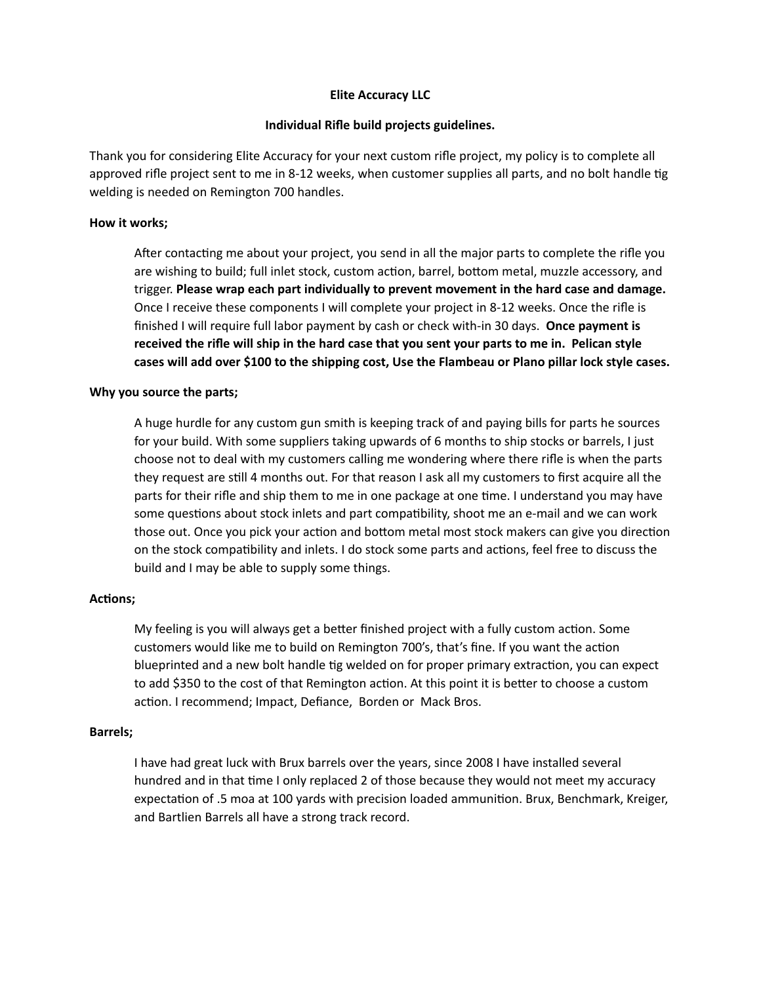# **Elite Accuracy LLC**

### **Individual Rifle build projects guidelines.**

Thank you for considering Elite Accuracy for your next custom rifle project, my policy is to complete all approved rifle project sent to me in 8-12 weeks, when customer supplies all parts, and no bolt handle tig welding is needed on Remington 700 handles.

## **How it works;**

After contacting me about your project, you send in all the major parts to complete the rifle you are wishing to build; full inlet stock, custom action, barrel, bottom metal, muzzle accessory, and trigger. **Please wrap each part individually to prevent movement in the hard case and damage.** Once I receive these components I will complete your project in 8-12 weeks. Once the rifle is finished I will require full labor payment by cash or check with-in 30 days. **Once payment is received the rifle will ship in the hard case that you sent your parts to me in. Pelican style cases will add over \$100 to the shipping cost, Use the Flambeau or Plano pillar lock style cases.**

#### **Why you source the parts;**

A huge hurdle for any custom gun smith is keeping track of and paying bills for parts he sources for your build. With some suppliers taking upwards of 6 months to ship stocks or barrels, I just choose not to deal with my customers calling me wondering where there rifle is when the parts they request are still 4 months out. For that reason I ask all my customers to first acquire all the parts for their rifle and ship them to me in one package at one time. I understand you may have some questions about stock inlets and part compatibility, shoot me an e-mail and we can work those out. Once you pick your action and bottom metal most stock makers can give you direction on the stock compatibility and inlets. I do stock some parts and actions, feel free to discuss the build and I may be able to supply some things.

#### **Actions;**

My feeling is you will always get a better finished project with a fully custom action. Some customers would like me to build on Remington 700's, that's fine. If you want the action blueprinted and a new bolt handle tig welded on for proper primary extraction, you can expect to add \$350 to the cost of that Remington action. At this point it is better to choose a custom action. I recommend; Impact, Defiance, Borden or Mack Bros.

#### **Barrels;**

I have had great luck with Brux barrels over the years, since 2008 I have installed several hundred and in that time I only replaced 2 of those because they would not meet my accuracy expectation of .5 moa at 100 yards with precision loaded ammunition. Brux, Benchmark, Kreiger, and Bartlien Barrels all have a strong track record.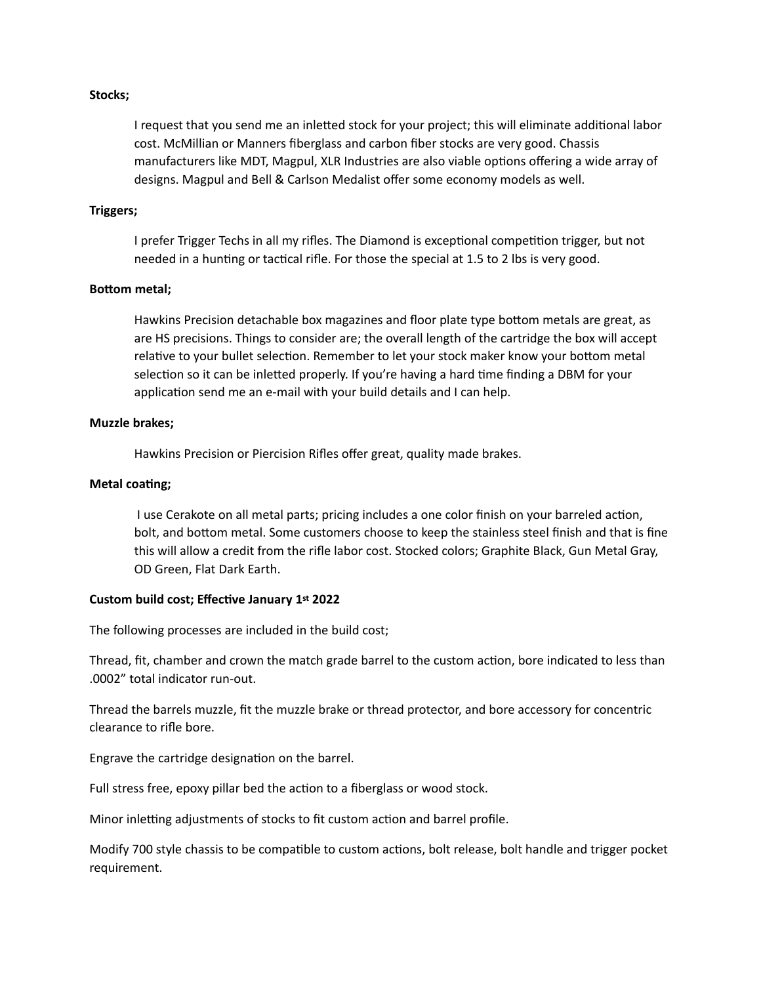## **Stocks;**

I request that you send me an inletted stock for your project; this will eliminate additional labor cost. McMillian or Manners fiberglass and carbon fiber stocks are very good. Chassis manufacturers like MDT, Magpul, XLR Industries are also viable options offering a wide array of designs. Magpul and Bell & Carlson Medalist offer some economy models as well.

#### **Triggers;**

I prefer Trigger Techs in all my rifles. The Diamond is exceptional competition trigger, but not needed in a hunting or tactical rifle. For those the special at 1.5 to 2 lbs is very good.

#### **Bottom metal;**

Hawkins Precision detachable box magazines and floor plate type bottom metals are great, as are HS precisions. Things to consider are; the overall length of the cartridge the box will accept relative to your bullet selection. Remember to let your stock maker know your bottom metal selection so it can be inletted properly. If you're having a hard time finding a DBM for your application send me an e-mail with your build details and I can help.

### **Muzzle brakes;**

Hawkins Precision or Piercision Rifles offer great, quality made brakes.

### **Metal coating;**

I use Cerakote on all metal parts; pricing includes a one color finish on your barreled action, bolt, and bottom metal. Some customers choose to keep the stainless steel finish and that is fine this will allow a credit from the rifle labor cost. Stocked colors; Graphite Black, Gun Metal Gray, OD Green, Flat Dark Earth.

#### **Custom build cost; Effective January 1st 2022**

The following processes are included in the build cost;

Thread, fit, chamber and crown the match grade barrel to the custom action, bore indicated to less than .0002" total indicator run-out.

Thread the barrels muzzle, fit the muzzle brake or thread protector, and bore accessory for concentric clearance to rifle bore.

Engrave the cartridge designation on the barrel.

Full stress free, epoxy pillar bed the action to a fiberglass or wood stock.

Minor inletting adjustments of stocks to fit custom action and barrel profile.

Modify 700 style chassis to be compatible to custom actions, bolt release, bolt handle and trigger pocket requirement.